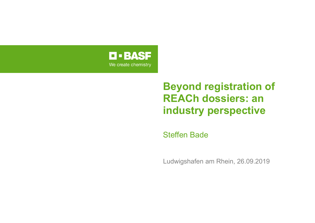

## **Beyond registration of REACh dossiers: an industry perspective**

Steffen Bade

Ludwigshafen am Rhein, 26.09.2019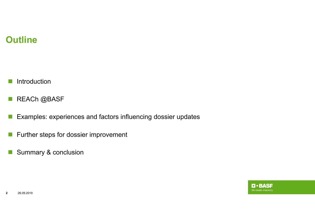## **Outline**

 $\sim 10$ Introduction

 $\mathcal{O}(\mathbb{R}^d)$ REACh @BASF

- $\mathcal{C}^{\mathcal{A}}$ Examples: experiences and factors influencing dossier updates
- $\mathcal{L}_{\mathcal{A}}$ Further steps for dossier improvement
- $\mathcal{L}_{\mathcal{A}}$ Summary & conclusion

**D-BASF** We create chemistry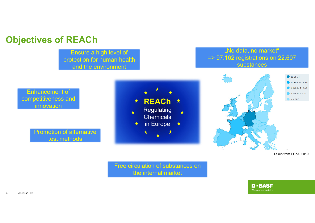#### **Objectives of REACh**

Ensure a high level of protection for human health and the environment

#### "No data, no market" => 97.162 registrations on 22.607 substances



Free circulation of substances on the internal market

**D-BASF**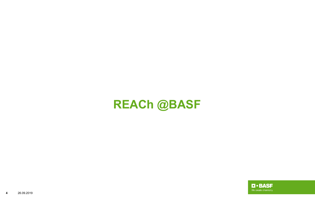# **REACh @BASF**

 $\blacksquare$  · BASF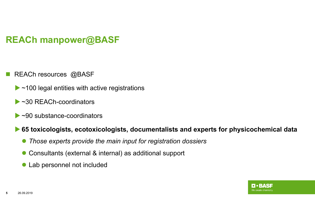## **REACh manpower@BASF**

- M REACh resources @BASF
	- $\triangleright$  ~100 legal entities with active registrations
	- ▶ ~30 RFACh-coordinators
	- $\triangleright$  ~90 substance-coordinators

#### **▶ 65 toxicologists, ecotoxicologists, documentalists and experts for physicochemical data**

- $\bullet$ *Those experts provide the main input for registration dossiers*
- $\bullet$ Consultants (external & internal) as additional support
- $\bullet$ Lab personnel not included

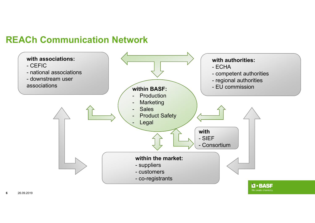#### **REACh Communication Network**

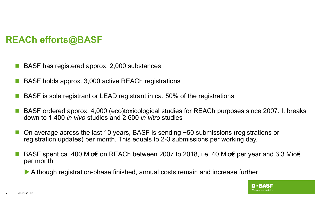## **REACh efforts@BASF**

- BASF has registered approx. 2,000 substances
- П BASF holds approx. 3,000 active REACh registrations
- M BASF is sole registrant or LEAD registrant in ca. 50% of the registrations
- П BASF ordered approx. 4,000 (eco)toxicological studies for REACh purposes since 2007. It breaks down to 1,400 *in vivo* studies and 2,600 *in vitro* studies
- П On average across the last 10 years, BASF is sending ~50 submissions (registrations or registration updates) per month. This equals to 2-3 submissions per working day.
- П BASF spent ca. 400 Mio€ on REACh between 2007 to 2018, i.e. 40 Mio€ per year and 3.3 Mio€ per month

Although registration-phase finished, annual costs remain and increase further

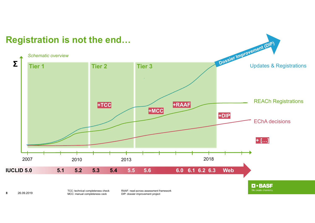

**8**

TCC: technical completeness check MCC: manual completeness ceck DIP: dossier improvement project 26.09.2019

RAAF: read-across assessment framework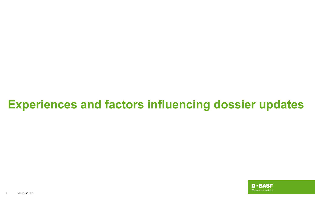# **Experiences and factors influencing dossier updates**

**D** · BASF We create chemistry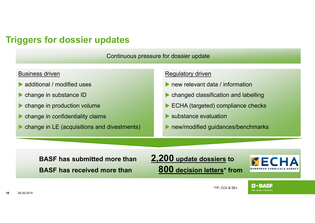#### **Triggers for dossier updates**

Continuous pressure for dossier update

#### Business driven

- additional / modified uses
- **Change in substance ID**
- **Change in production volume**
- **Change in confidentiality claims**
- **Change in LE (acquisitions and divestments)**

#### Regulatory driven

- **In the vantuber of the Vinformation**
- $\blacktriangleright$ changed classification and labelling
- $\blacktriangleright$ ECHA (targeted) compliance checks
- $\blacktriangleright$ substance evaluation
- $\blacktriangleright$ new/modified guidances/benchmarks

**BASF has submitted more than 2,200 update dossiers to BASF has received more than 800 decision letters\* from**



**O-BASF** We create chemistry

#### \*TP, CCh & SEv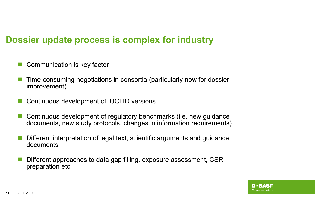### **Dossier update process is complex for industry**

- r. Communication is key factor
- р, Time-consuming negotiations in consortia (particularly now for dossier improvement)
- р, Continuous development of IUCLID versions
- P) Continuous development of regulatory benchmarks (i.e. new guidance documents, new study protocols, changes in information requirements)
- р, Different interpretation of legal text, scientific arguments and guidance documents
- M. Different approaches to data gap filling, exposure assessment, CSR preparation etc.

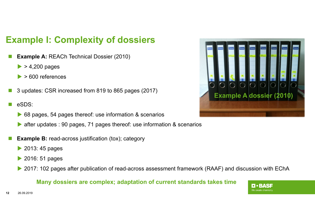## **Example I: Complexity of dossiers**

- r. **Example A:** REACh Technical Dossier (2010)
	- $\triangleright$  > 4,200 pages
	- $\blacktriangleright$ > 600 references
- m. 3 updates: CSR increased from 819 to 865 pages (2017)
- r. eSDS:
	- ▶ 68 pages, 54 pages thereof: use information & scenarios
	- $\blacktriangleright$ after updates : 90 pages, 71 pages thereof: use information & scenarios
- **Example B:** read-across justification (tox); category
	- 2013: 45 pages
	- **2016: 51 pages**
	- $\blacktriangleright$ 2017: 102 pages after publication of read-across assessment framework (RAAF) and discussion with EChA

#### **Many dossiers are complex; adaptation of current standards takes time**



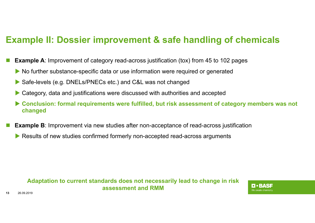### **Example II: Dossier improvement & safe handling of chemicals**

- p. **Example A**: Improvement of category read-across justification (tox) from 45 to 102 pages
	- No further substance-specific data or use information were required or generated
	- $\blacktriangleright$ Safe-levels (e.g. DNELs/PNECs etc.) and C&L was not changed
	- $\blacktriangleright$ Category, data and justifications were discussed with authorities and accepted
	- $\blacktriangleright$  **Conclusion: formal requirements were fulfilled, but risk assessment of category members was not changed**
- p. **Example B**: Improvement via new studies after non-acceptance of read-across justification
	- Results of new studies confirmed formerly non-accepted read-across arguments

#### **Adaptation to current standards does not necessarily lead to change in risk assessment and RMM**

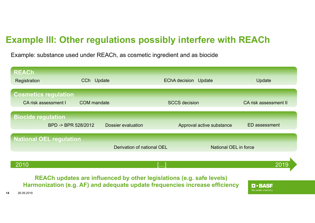## **Example III: Other regulations possibly interfere with REACh**

Example: substance used under REACh, as cosmetic ingredient and as biocide

| <b>REACh</b><br>Registration                               | CCh Update         |                            | <b>EChA decision</b><br>Update | Update                |
|------------------------------------------------------------|--------------------|----------------------------|--------------------------------|-----------------------|
| <b>Cosmetics regulation</b><br><b>CA risk assessment I</b> | <b>COM</b> mandate |                            | <b>SCCS</b> decision           | CA risk assessment II |
| <b>Biocide regulation</b><br>BPD -> BPR 528/2012           |                    | <b>Dossier evaluation</b>  | Approval active substance      | <b>ED</b> assessment  |
| <b>National OEL regulation</b>                             |                    | Derivation of national OEL | <b>National OEL in force</b>   |                       |
| 2010                                                       |                    |                            |                                | 2019                  |

**REACh updates are influenced by other legislations (e.g. safe levels) Harmonization (e.g. AF) and adequate update frequencies increase efficiency**

**D.BASF** We create chemistry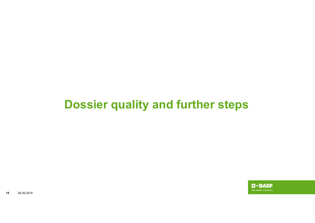# **Dossier quality and further steps**

 $\blacksquare$  - BASF We create chemistry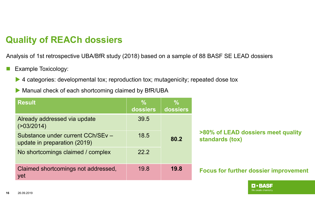## **Quality of REACh dossiers**

Analysis of 1st retrospective UBA/BfR study (2018) based on a sample of 88 BASF SE LEAD dossiers

- $\mathcal{C}^{\mathcal{A}}$  Example Toxicology:
	- ▶ 4 categories: developmental tox; reproduction tox; mutagenicity; repeated dose tox
	- Manual check of each shortcoming claimed by BfR/UBA

| <b>Result</b>                                                     | $\frac{0}{0}$<br>dossiers | $\overline{\mathcal{C}}$<br>dossiers |                                                       |  |
|-------------------------------------------------------------------|---------------------------|--------------------------------------|-------------------------------------------------------|--|
| Already addressed via update<br>$($ >03/2014)                     | 39.5                      |                                      |                                                       |  |
| Substance under current CCh/SEv -<br>update in preparation (2019) | 18.5<br>80.2              |                                      | >80% of LEAD dossiers meet quality<br>standards (tox) |  |
| No shortcomings claimed / complex                                 | 22.2                      |                                      |                                                       |  |
| Claimed shortcomings not addressed,<br>yet                        | 19.8                      | 19.8                                 | <b>Focus for further dossier improvement</b>          |  |

O • BASF We create chemistry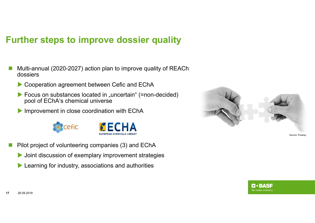#### **Further steps to improve dossier quality**

- Multi-annual (2020-2027) action plan to improve quality of REACh dossiers
	- Cooperation agreement between Cefic and EChA
	- Focus on substances located in "uncertain" (=non-decided) pool of EChA's chemical universe
	- Improvement in close coordination with EChA



- p. Pilot project of volunteering companies (3) and EChA
	- **D** Joint discussion of exemplary improvement strategies
	- **Learning for industry, associations and authorities**



Source: Pixabay

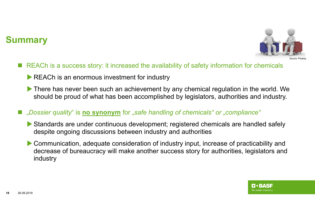### **Summary**



- REACh is a success story: it increased the availability of safety information for chemicals
	- REACh is an enormous investment for industry
	- There has never been such an achievement by any chemical regulation in the world. We should be proud of what has been accomplished by legislators, authorities and industry.
- "*Dossier quality*" is *no synonym* for "safe handling of chemicals" or "compliance"
	- Standards are under continuous development; registered chemicals are handled safely despite ongoing discussions between industry and authorities
	- Communication, adequate consideration of industry input, increase of practicability and decrease of bureaucracy will make another success story for authorities, legislators and industry

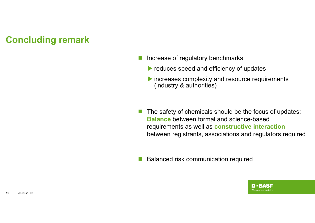### **Concluding remark**

- Ŧ Increase of regulatory benchmarks
	- reduces speed and efficiency of updates
	- Increases complexity and resource requirements (industry & authorities)
- $\mathcal{L}(\mathcal{A})$  The safety of chemicals should be the focus of updates: **Balance** between formal and science-based requirements as well as **constructive interaction** between registrants, associations and regulators required
- F. Balanced risk communication required